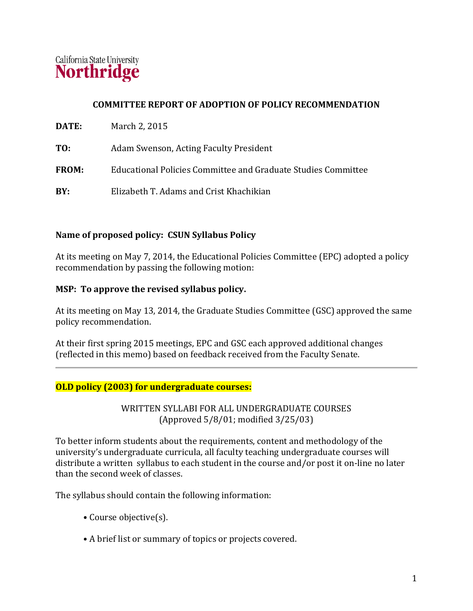

## **COMMITTEE REPORT OF ADOPTION OF POLICY RECOMMENDATION**

- **TO:** Adam Swenson, Acting Faculty President
- **FROM:** Educational Policies Committee and Graduate Studies Committee
- **BY:** Elizabeth T. Adams and Crist Khachikian

### **Name of proposed policy: CSUN Syllabus Policy**

At its meeting on May 7, 2014, the Educational Policies Committee (EPC) adopted a policy recommendation by passing the following motion:

### **MSP: To approve the revised syllabus policy.**

At its meeting on May 13, 2014, the Graduate Studies Committee (GSC) approved the same policy recommendation.

At their first spring 2015 meetings, EPC and GSC each approved additional changes (reflected in this memo) based on feedback received from the Faculty Senate.

### **OLD policy (2003) for undergraduate courses:**

WRITTEN SYLLABI FOR ALL UNDERGRADUATE COURSES (Approved 5/8/01; modified 3/25/03)

To better inform students about the requirements, content and methodology of the university's undergraduate curricula, all faculty teaching undergraduate courses will distribute a written syllabus to each student in the course and/or post it on-line no later than the second week of classes.

The syllabus should contain the following information:

- Course objective(s).
- A brief list or summary of topics or projects covered.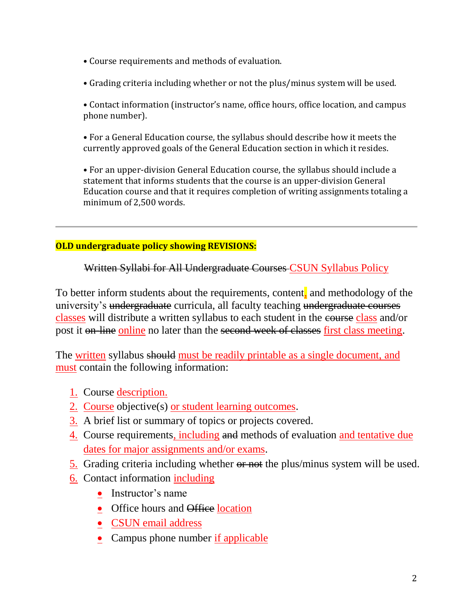- Course requirements and methods of evaluation.
- Grading criteria including whether or not the plus/minus system will be used.

• Contact information (instructor's name, office hours, office location, and campus phone number).

• For a General Education course, the syllabus should describe how it meets the currently approved goals of the General Education section in which it resides.

• For an upper-division General Education course, the syllabus should include a statement that informs students that the course is an upper-division General Education course and that it requires completion of writing assignments totaling a minimum of 2,500 words.

## **OLD undergraduate policy showing REVISIONS:**

Written Syllabi for All Undergraduate Courses CSUN Syllabus Policy

To better inform students about the requirements, content, and methodology of the university's undergraduate curricula, all faculty teaching undergraduate courses classes will distribute a written syllabus to each student in the course class and/or post it on-line online no later than the second week of classes first class meeting.

The written syllabus should must be readily printable as a single document, and must contain the following information:

- 1. Course description.
- 2. Course objective(s) or student learning outcomes.
- 3. A brief list or summary of topics or projects covered.
- 4. Course requirements, including and methods of evaluation and tentative due dates for major assignments and/or exams.
- 5. Grading criteria including whether or not the plus/minus system will be used.
- 6. Contact information including
	- Instructor's name
	- Office hours and Office location
	- CSUN email address
	- Campus phone number if applicable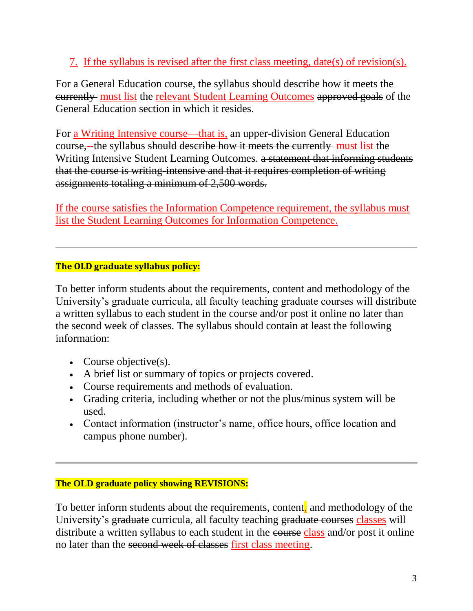# 7. If the syllabus is revised after the first class meeting, date(s) of revision(s).

For a General Education course, the syllabus should describe how it meets the currently must list the relevant Student Learning Outcomes approved goals of the General Education section in which it resides.

For a Writing Intensive course—that is, an upper-division General Education course,--the syllabus should describe how it meets the currently must list the Writing Intensive Student Learning Outcomes. a statement that informing students that the course is writing-intensive and that it requires completion of writing assignments totaling a minimum of 2,500 words.

If the course satisfies the Information Competence requirement, the syllabus must list the Student Learning Outcomes for Information Competence.

# **The OLD graduate syllabus policy:**

To better inform students about the requirements, content and methodology of the University's graduate curricula, all faculty teaching graduate courses will distribute a written syllabus to each student in the course and/or post it online no later than the second week of classes. The syllabus should contain at least the following information:

- Course objective(s).
- A brief list or summary of topics or projects covered.
- Course requirements and methods of evaluation.
- Grading criteria, including whether or not the plus/minus system will be used.
- Contact information (instructor's name, office hours, office location and campus phone number).

# **The OLD graduate policy showing REVISIONS:**

To better inform students about the requirements, content, and methodology of the University's graduate curricula, all faculty teaching graduate courses classes will distribute a written syllabus to each student in the course class and/or post it online no later than the second week of classes first class meeting.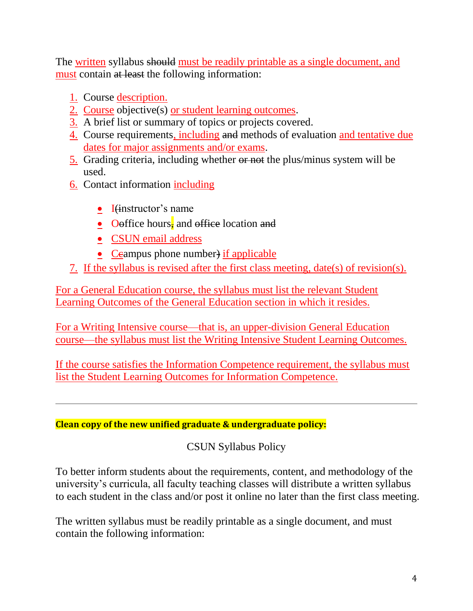The written syllabus should must be readily printable as a single document, and must contain at least the following information:

- 1. Course description.
- 2. Course objective(s) or student learning outcomes.
- 3. A brief list or summary of topics or projects covered.
- 4. Course requirements, including and methods of evaluation and tentative due dates for major assignments and/or exams.
- 5. Grading criteria, including whether or not the plus/minus system will be used.
- 6. Contact information including
	- $\bullet$  I(instructor's name
	- Oeffice hours, and office location and
	- CSUN email address
	- Ceampus phone number) if applicable
- 7. If the syllabus is revised after the first class meeting, date(s) of revision(s).

For a General Education course, the syllabus must list the relevant Student Learning Outcomes of the General Education section in which it resides.

For a Writing Intensive course—that is, an upper-division General Education course—the syllabus must list the Writing Intensive Student Learning Outcomes.

If the course satisfies the Information Competence requirement, the syllabus must list the Student Learning Outcomes for Information Competence.

**Clean copy of the new unified graduate & undergraduate policy:**

CSUN Syllabus Policy

To better inform students about the requirements, content, and methodology of the university's curricula, all faculty teaching classes will distribute a written syllabus to each student in the class and/or post it online no later than the first class meeting.

The written syllabus must be readily printable as a single document, and must contain the following information: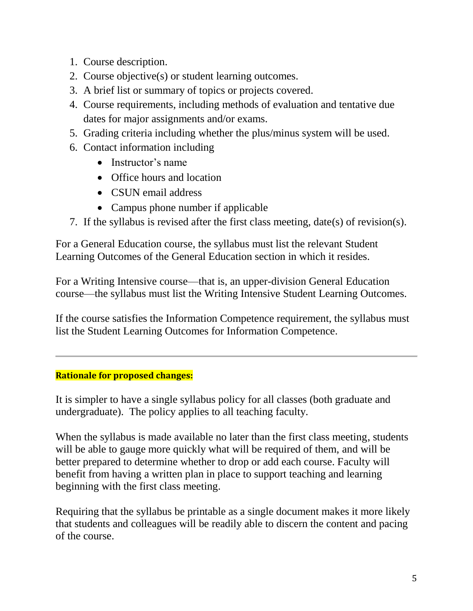- 1. Course description.
- 2. Course objective(s) or student learning outcomes.
- 3. A brief list or summary of topics or projects covered.
- 4. Course requirements, including methods of evaluation and tentative due dates for major assignments and/or exams.
- 5. Grading criteria including whether the plus/minus system will be used.
- 6. Contact information including
	- Instructor's name
	- Office hours and location
	- CSUN email address
	- Campus phone number if applicable
- 7. If the syllabus is revised after the first class meeting, date(s) of revision(s).

For a General Education course, the syllabus must list the relevant Student Learning Outcomes of the General Education section in which it resides.

For a Writing Intensive course—that is, an upper-division General Education course—the syllabus must list the Writing Intensive Student Learning Outcomes.

If the course satisfies the Information Competence requirement, the syllabus must list the Student Learning Outcomes for Information Competence.

# **Rationale for proposed changes:**

It is simpler to have a single syllabus policy for all classes (both graduate and undergraduate). The policy applies to all teaching faculty.

When the syllabus is made available no later than the first class meeting, students will be able to gauge more quickly what will be required of them, and will be better prepared to determine whether to drop or add each course. Faculty will benefit from having a written plan in place to support teaching and learning beginning with the first class meeting.

Requiring that the syllabus be printable as a single document makes it more likely that students and colleagues will be readily able to discern the content and pacing of the course.